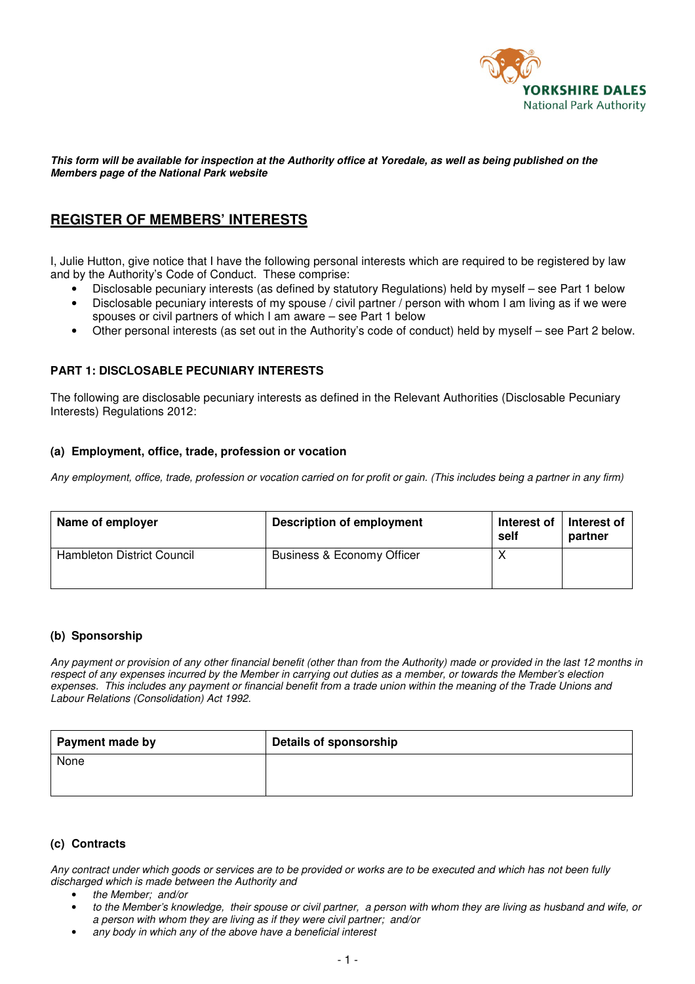

#### **This form will be available for inspection at the Authority office at Yoredale, as well as being published on the Members page of the National Park website**

# **REGISTER OF MEMBERS' INTERESTS**

I, Julie Hutton, give notice that I have the following personal interests which are required to be registered by law and by the Authority's Code of Conduct. These comprise:

- Disclosable pecuniary interests (as defined by statutory Regulations) held by myself see Part 1 below
- Disclosable pecuniary interests of my spouse / civil partner / person with whom I am living as if we were spouses or civil partners of which I am aware – see Part 1 below
- Other personal interests (as set out in the Authority's code of conduct) held by myself see Part 2 below.

### **PART 1: DISCLOSABLE PECUNIARY INTERESTS**

The following are disclosable pecuniary interests as defined in the Relevant Authorities (Disclosable Pecuniary Interests) Regulations 2012:

#### **(a) Employment, office, trade, profession or vocation**

*Any employment, office, trade, profession or vocation carried on for profit or gain. (This includes being a partner in any firm)* 

| Name of employer                  | <b>Description of employment</b>      | Interest of<br>self | Interest of<br>partner |
|-----------------------------------|---------------------------------------|---------------------|------------------------|
| <b>Hambleton District Council</b> | <b>Business &amp; Economy Officer</b> | ↗                   |                        |

### **(b) Sponsorship**

*Any payment or provision of any other financial benefit (other than from the Authority) made or provided in the last 12 months in respect of any expenses incurred by the Member in carrying out duties as a member, or towards the Member's election expenses. This includes any payment or financial benefit from a trade union within the meaning of the Trade Unions and Labour Relations (Consolidation) Act 1992.* 

| Payment made by | <b>Details of sponsorship</b> |
|-----------------|-------------------------------|
| None            |                               |
|                 |                               |

### **(c) Contracts**

*Any contract under which goods or services are to be provided or works are to be executed and which has not been fully discharged which is made between the Authority and* 

- *the Member; and/or*
- *to the Member's knowledge, their spouse or civil partner, a person with whom they are living as husband and wife, or a person with whom they are living as if they were civil partner; and/or*
- *any body in which any of the above have a beneficial interest*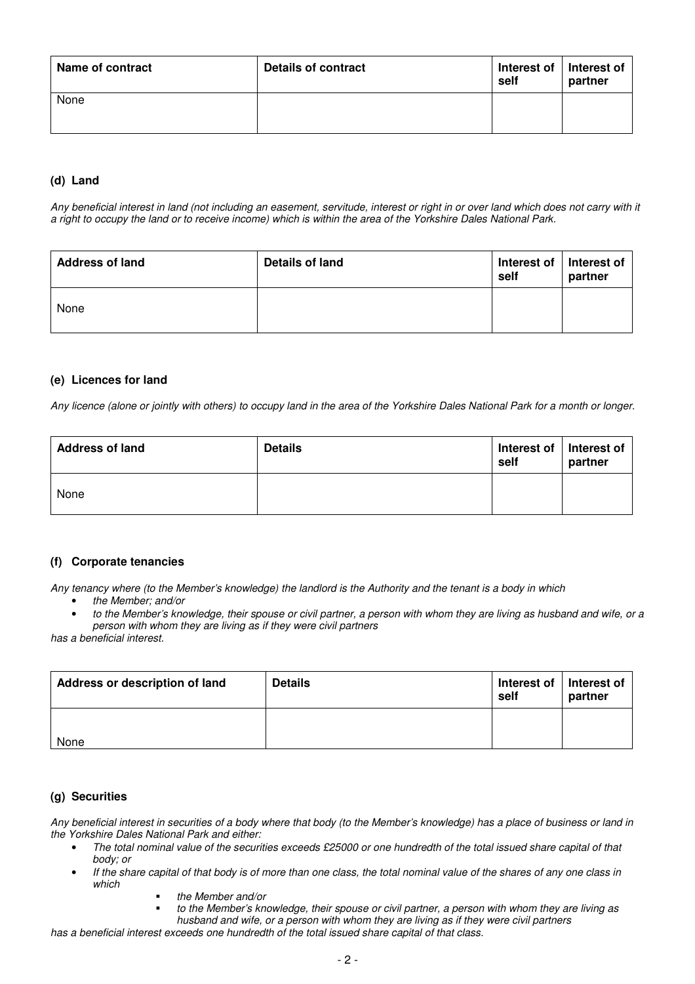| <b>Name of contract</b> | Details of contract | Interest of<br>self | Interest of<br>partner |
|-------------------------|---------------------|---------------------|------------------------|
| None                    |                     |                     |                        |

## **(d) Land**

*Any beneficial interest in land (not including an easement, servitude, interest or right in or over land which does not carry with it a right to occupy the land or to receive income) which is within the area of the Yorkshire Dales National Park.* 

| <b>Address of land</b> | Details of land | Interest of   Interest of<br>self | partner |
|------------------------|-----------------|-----------------------------------|---------|
| None                   |                 |                                   |         |

#### **(e) Licences for land**

*Any licence (alone or jointly with others) to occupy land in the area of the Yorkshire Dales National Park for a month or longer.* 

| <b>Address of land</b> | <b>Details</b> | Interest of   Interest of<br>self | partner |
|------------------------|----------------|-----------------------------------|---------|
| None                   |                |                                   |         |

### **(f) Corporate tenancies**

*Any tenancy where (to the Member's knowledge) the landlord is the Authority and the tenant is a body in which* 

- *the Member; and/or*
- *to the Member's knowledge, their spouse or civil partner, a person with whom they are living as husband and wife, or a person with whom they are living as if they were civil partners*

*has a beneficial interest.* 

| Address or description of land | <b>Details</b> | Interest of   Interest of<br>self | partner |
|--------------------------------|----------------|-----------------------------------|---------|
| None                           |                |                                   |         |

#### **(g) Securities**

*Any beneficial interest in securities of a body where that body (to the Member's knowledge) has a place of business or land in the Yorkshire Dales National Park and either:* 

- *The total nominal value of the securities exceeds £25000 or one hundredth of the total issued share capital of that body; or*
- *If the share capital of that body is of more than one class, the total nominal value of the shares of any one class in which* 
	- *the Member and/or* 
		- *to the Member's knowledge, their spouse or civil partner, a person with whom they are living as husband and wife, or a person with whom they are living as if they were civil partners*
- *has a beneficial interest exceeds one hundredth of the total issued share capital of that class.*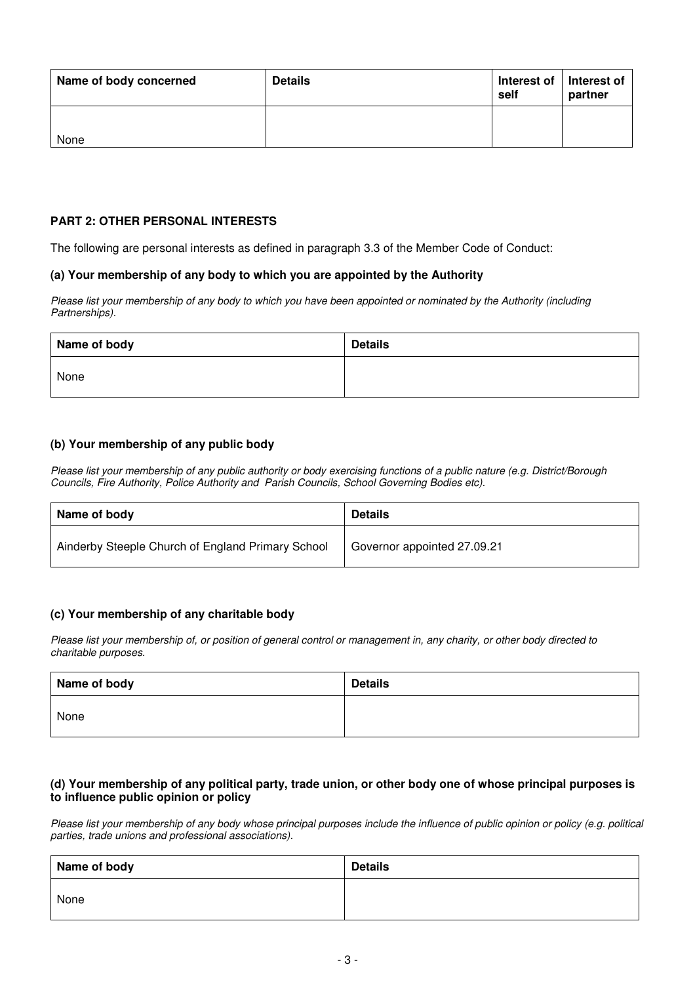| Name of body concerned | <b>Details</b> | Interest of   Interest of<br>self | partner |
|------------------------|----------------|-----------------------------------|---------|
| None                   |                |                                   |         |

# **PART 2: OTHER PERSONAL INTERESTS**

The following are personal interests as defined in paragraph 3.3 of the Member Code of Conduct:

### **(a) Your membership of any body to which you are appointed by the Authority**

*Please list your membership of any body to which you have been appointed or nominated by the Authority (including Partnerships).* 

| Name of body | <b>Details</b> |
|--------------|----------------|
| None         |                |

## **(b) Your membership of any public body**

*Please list your membership of any public authority or body exercising functions of a public nature (e.g. District/Borough Councils, Fire Authority, Police Authority and Parish Councils, School Governing Bodies etc).*

| Name of body                                      | <b>Details</b>              |
|---------------------------------------------------|-----------------------------|
| Ainderby Steeple Church of England Primary School | Governor appointed 27.09.21 |

### **(c) Your membership of any charitable body**

*Please list your membership of, or position of general control or management in, any charity, or other body directed to charitable purposes.* 

| Name of body | <b>Details</b> |
|--------------|----------------|
| None         |                |

### **(d) Your membership of any political party, trade union, or other body one of whose principal purposes is to influence public opinion or policy**

*Please list your membership of any body whose principal purposes include the influence of public opinion or policy (e.g. political parties, trade unions and professional associations).* 

| Name of body | <b>Details</b> |
|--------------|----------------|
| None         |                |